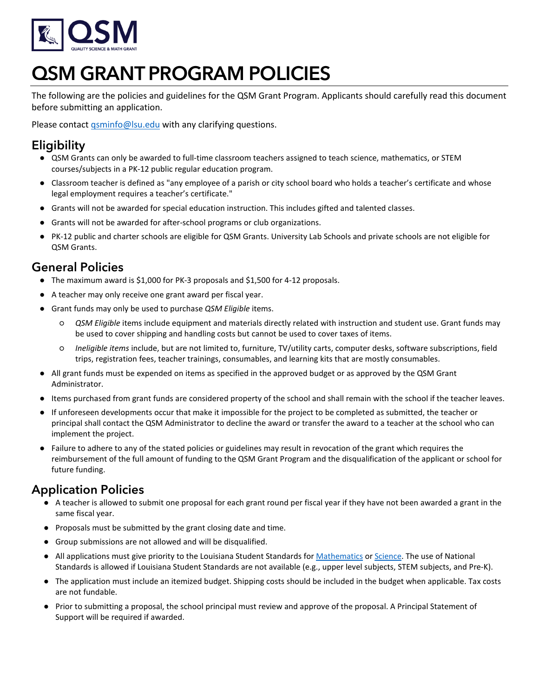

# QSM GRANT PROGRAM POLICIES

The following are the policies and guidelines for the QSM Grant Program. Applicants should carefully read this document before submitting an application.

Please contact [qsminfo@lsu.edu](mailto:qsminfo@lsu.edu) with any clarifying questions.

## **Eligibility**

- QSM Grants can only be awarded to full-time classroom teachers assigned to teach science, mathematics, or STEM courses/subjects in a PK-12 public regular education program.
- Classroom teacher is defined as "any employee of a parish or city school board who holds a teacher's certificate and whose legal employment requires a teacher's certificate."
- Grants will not be awarded for special education instruction. This includes gifted and talented classes.
- Grants will not be awarded for after-school programs or club organizations.
- PK-12 public and charter schools are eligible for QSM Grants. University Lab Schools and private schools are not eligible for QSM Grants.

## General Policies

- The maximum award is \$1,000 for PK-3 proposals and \$1,500 for 4-12 proposals.
- A teacher may only receive one grant award per fiscal year.
- Grant funds may only be used to purchase *QSM Eligible* items.
	- *QSM Eligible* items include equipment and materials directly related with instruction and student use. Grant funds may be used to cover shipping and handling costs but cannot be used to cover taxes of items.
	- *Ineligible items* include, but are not limited to, furniture, TV/utility carts, computer desks, software subscriptions, field trips, registration fees, teacher trainings, consumables, and learning kits that are mostly consumables.
- All grant funds must be expended on items as specified in the approved budget or as approved by the QSM Grant Administrator.
- Items purchased from grant funds are considered property of the school and shall remain with the school if the teacher leaves.
- If unforeseen developments occur that make it impossible for the project to be completed as submitted, the teacher or principal shall contact the QSM Administrator to decline the award or transfer the award to a teacher at the school who can implement the project.
- Failure to adhere to any of the stated policies or guidelines may result in revocation of the grant which requires the reimbursement of the full amount of funding to the QSM Grant Program and the disqualification of the applicant or school for future funding.

#### Application Policies

- A teacher is allowed to submit one proposal for each grant round per fiscal year if they have not been awarded a grant in the same fiscal year.
- Proposals must be submitted by the grant closing date and time.
- Group submissions are not allowed and will be disqualified.
- All applications must give priority to the Louisiana Student Standards for [Mathematics](https://louisianabelieves.com/docs/default-source/teacher-toolbox-resources/louisiana-student-standards-for-k-12-math.pdf?sfvrsn=86bb8a1f_62) or [Science.](https://louisianabelieves.com/docs/default-source/teacher-toolbox-resources/k-12-louisiana-student-standards-for-science.zip?sfvrsn=550c971f_24) The use of National Standards is allowed if Louisiana Student Standards are not available (e.g., upper level subjects, STEM subjects, and Pre-K).
- The application must include an itemized budget. Shipping costs should be included in the budget when applicable. Tax costs are not fundable.
- Prior to submitting a proposal, the school principal must review and approve of the proposal. A Principal Statement of Support will be required if awarded.